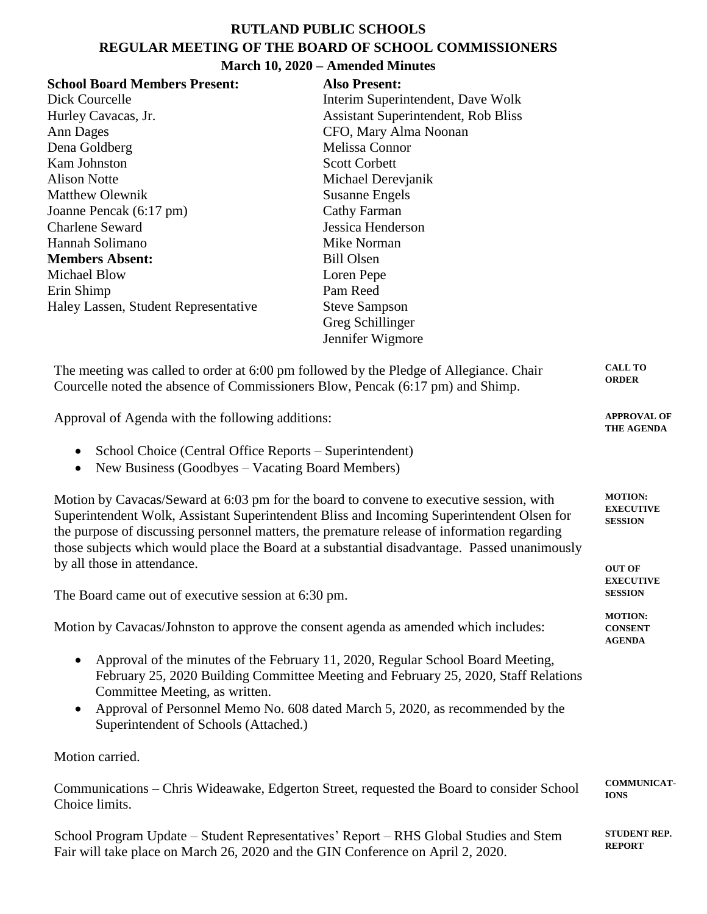## **RUTLAND PUBLIC SCHOOLS REGULAR MEETING OF THE BOARD OF SCHOOL COMMISSIONERS**

| March 10, 2020 - Amended Minutes                                                                                                                                                                                                                                                                                                                                                    |                                     |                  |  |  |  |  |
|-------------------------------------------------------------------------------------------------------------------------------------------------------------------------------------------------------------------------------------------------------------------------------------------------------------------------------------------------------------------------------------|-------------------------------------|------------------|--|--|--|--|
| <b>School Board Members Present:</b>                                                                                                                                                                                                                                                                                                                                                | <b>Also Present:</b>                |                  |  |  |  |  |
| Dick Courcelle                                                                                                                                                                                                                                                                                                                                                                      | Interim Superintendent, Dave Wolk   |                  |  |  |  |  |
| Hurley Cavacas, Jr.                                                                                                                                                                                                                                                                                                                                                                 | Assistant Superintendent, Rob Bliss |                  |  |  |  |  |
| Ann Dages                                                                                                                                                                                                                                                                                                                                                                           | CFO, Mary Alma Noonan               |                  |  |  |  |  |
| Dena Goldberg                                                                                                                                                                                                                                                                                                                                                                       | Melissa Connor                      |                  |  |  |  |  |
| Kam Johnston                                                                                                                                                                                                                                                                                                                                                                        | <b>Scott Corbett</b>                |                  |  |  |  |  |
| <b>Alison Notte</b>                                                                                                                                                                                                                                                                                                                                                                 | Michael Derevjanik                  |                  |  |  |  |  |
| <b>Matthew Olewnik</b>                                                                                                                                                                                                                                                                                                                                                              | <b>Susanne Engels</b>               |                  |  |  |  |  |
| Joanne Pencak (6:17 pm)                                                                                                                                                                                                                                                                                                                                                             | <b>Cathy Farman</b>                 |                  |  |  |  |  |
| <b>Charlene Seward</b>                                                                                                                                                                                                                                                                                                                                                              | Jessica Henderson                   |                  |  |  |  |  |
| Hannah Solimano                                                                                                                                                                                                                                                                                                                                                                     | Mike Norman                         |                  |  |  |  |  |
| <b>Members Absent:</b>                                                                                                                                                                                                                                                                                                                                                              | <b>Bill Olsen</b>                   |                  |  |  |  |  |
| <b>Michael Blow</b>                                                                                                                                                                                                                                                                                                                                                                 | Loren Pepe                          |                  |  |  |  |  |
| Erin Shimp                                                                                                                                                                                                                                                                                                                                                                          | Pam Reed                            |                  |  |  |  |  |
| Haley Lassen, Student Representative                                                                                                                                                                                                                                                                                                                                                | <b>Steve Sampson</b>                |                  |  |  |  |  |
|                                                                                                                                                                                                                                                                                                                                                                                     | Greg Schillinger                    |                  |  |  |  |  |
|                                                                                                                                                                                                                                                                                                                                                                                     | Jennifer Wigmore                    |                  |  |  |  |  |
| The meeting was called to order at 6:00 pm followed by the Pledge of Allegiance. Chair<br>Courcelle noted the absence of Commissioners Blow, Pencak (6:17 pm) and Shimp.                                                                                                                                                                                                            |                                     |                  |  |  |  |  |
| Approval of Agenda with the following additions:                                                                                                                                                                                                                                                                                                                                    |                                     |                  |  |  |  |  |
| School Choice (Central Office Reports – Superintendent)<br>$\bullet$<br>New Business (Goodbyes - Vacating Board Members)<br>$\bullet$                                                                                                                                                                                                                                               |                                     |                  |  |  |  |  |
| Motion by Cavacas/Seward at 6:03 pm for the board to convene to executive session, with<br>Superintendent Wolk, Assistant Superintendent Bliss and Incoming Superintendent Olsen for<br>the purpose of discussing personnel matters, the premature release of information regarding<br>those subjects which would place the Board at a substantial disadvantage. Passed unanimously |                                     |                  |  |  |  |  |
| by all those in attendance.                                                                                                                                                                                                                                                                                                                                                         |                                     | <b>OUT OF</b>    |  |  |  |  |
|                                                                                                                                                                                                                                                                                                                                                                                     |                                     | <b>EXECUTIVE</b> |  |  |  |  |
| The Board came out of executive session at 6:30 pm.                                                                                                                                                                                                                                                                                                                                 |                                     |                  |  |  |  |  |
| Motion by Cavacas/Johnston to approve the consent agenda as amended which includes:                                                                                                                                                                                                                                                                                                 |                                     |                  |  |  |  |  |
| Approval of the minutes of the February 11, 2020, Regular School Board Meeting,<br>$\bullet$<br>February 25, 2020 Building Committee Meeting and February 25, 2020, Staff Relations<br>Committee Meeting, as written.<br>Approval of Personnel Memo No. 608 dated March 5, 2020, as recommended by the<br>$\bullet$<br>Superintendent of Schools (Attached.)                        |                                     |                  |  |  |  |  |
| Motion carried.                                                                                                                                                                                                                                                                                                                                                                     |                                     |                  |  |  |  |  |

Communications – Chris Wideawake, Edgerton Street, requested the Board to consider School Choice limits. **COMMUNICAT-IONS**

School Program Update – Student Representatives' Report – RHS Global Studies and Stem Fair will take place on March 26, 2020 and the GIN Conference on April 2, 2020.

**STUDENT REP. REPORT**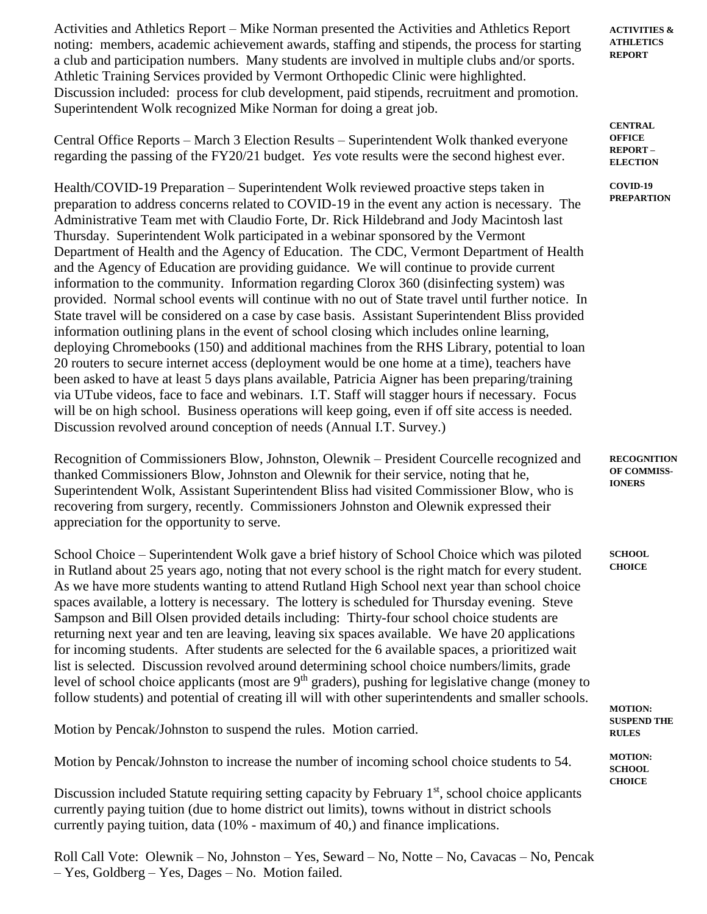Activities and Athletics Report – Mike Norman presented the Activities and Athletics Report noting: members, academic achievement awards, staffing and stipends, the process for starting a club and participation numbers. Many students are involved in multiple clubs and/or sports. Athletic Training Services provided by Vermont Orthopedic Clinic were highlighted. Discussion included: process for club development, paid stipends, recruitment and promotion. Superintendent Wolk recognized Mike Norman for doing a great job.

Central Office Reports – March 3 Election Results – Superintendent Wolk thanked everyone regarding the passing of the FY20/21 budget. *Yes* vote results were the second highest ever.

Health/COVID-19 Preparation – Superintendent Wolk reviewed proactive steps taken in preparation to address concerns related to COVID-19 in the event any action is necessary. The Administrative Team met with Claudio Forte, Dr. Rick Hildebrand and Jody Macintosh last Thursday. Superintendent Wolk participated in a webinar sponsored by the Vermont Department of Health and the Agency of Education. The CDC, Vermont Department of Health and the Agency of Education are providing guidance. We will continue to provide current information to the community. Information regarding Clorox 360 (disinfecting system) was provided. Normal school events will continue with no out of State travel until further notice. In State travel will be considered on a case by case basis. Assistant Superintendent Bliss provided information outlining plans in the event of school closing which includes online learning, deploying Chromebooks (150) and additional machines from the RHS Library, potential to loan 20 routers to secure internet access (deployment would be one home at a time), teachers have been asked to have at least 5 days plans available, Patricia Aigner has been preparing/training via UTube videos, face to face and webinars. I.T. Staff will stagger hours if necessary. Focus will be on high school. Business operations will keep going, even if off site access is needed. Discussion revolved around conception of needs (Annual I.T. Survey.)

Recognition of Commissioners Blow, Johnston, Olewnik – President Courcelle recognized and thanked Commissioners Blow, Johnston and Olewnik for their service, noting that he, Superintendent Wolk, Assistant Superintendent Bliss had visited Commissioner Blow, who is recovering from surgery, recently. Commissioners Johnston and Olewnik expressed their appreciation for the opportunity to serve.

School Choice – Superintendent Wolk gave a brief history of School Choice which was piloted in Rutland about 25 years ago, noting that not every school is the right match for every student. As we have more students wanting to attend Rutland High School next year than school choice spaces available, a lottery is necessary. The lottery is scheduled for Thursday evening. Steve Sampson and Bill Olsen provided details including: Thirty-four school choice students are returning next year and ten are leaving, leaving six spaces available. We have 20 applications for incoming students. After students are selected for the 6 available spaces, a prioritized wait list is selected. Discussion revolved around determining school choice numbers/limits, grade level of school choice applicants (most are 9<sup>th</sup> graders), pushing for legislative change (money to follow students) and potential of creating ill will with other superintendents and smaller schools.

Motion by Pencak/Johnston to suspend the rules. Motion carried.

Motion by Pencak/Johnston to increase the number of incoming school choice students to 54.

Discussion included Statute requiring setting capacity by February 1<sup>st</sup>, school choice applicants currently paying tuition (due to home district out limits), towns without in district schools currently paying tuition, data (10% - maximum of 40,) and finance implications.

Roll Call Vote: Olewnik – No, Johnston – Yes, Seward – No, Notte – No, Cavacas – No, Pencak – Yes, Goldberg – Yes, Dages – No. Motion failed.

**ACTIVITIES & ATHLETICS REPORT**

**CENTRAL OFFICE REPORT – ELECTION**

**COVID-19 PREPARTION**

**RECOGNITION OF COMMISS-IONERS**

**SCHOOL CHOICE**

**MOTION: SUSPEND THE RULES**

**MOTION: SCHOOL CHOICE**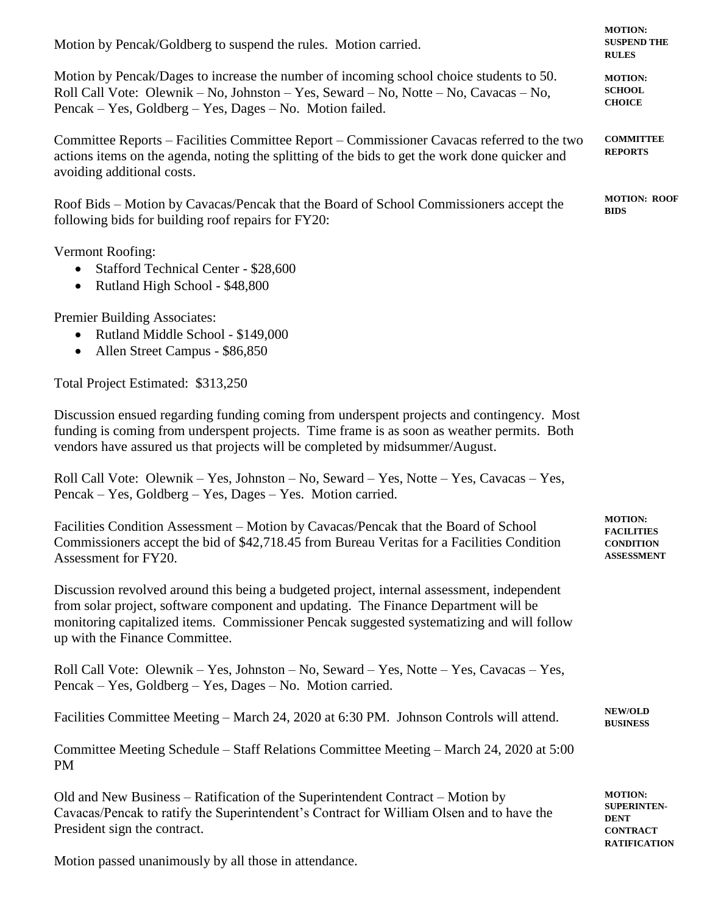| Motion by Pencak/Goldberg to suspend the rules. Motion carried.                                                                                                                                                                                                                                                  | <b>MOTION:</b><br><b>SUSPEND THE</b><br><b>RULES</b>                                          |
|------------------------------------------------------------------------------------------------------------------------------------------------------------------------------------------------------------------------------------------------------------------------------------------------------------------|-----------------------------------------------------------------------------------------------|
| Motion by Pencak/Dages to increase the number of incoming school choice students to 50.<br>Roll Call Vote: Olewnik – No, Johnston – Yes, Seward – No, Notte – No, Cavacas – No,<br>Pencak – Yes, Goldberg – Yes, Dages – No. Motion failed.                                                                      |                                                                                               |
| Committee Reports – Facilities Committee Report – Commissioner Cavacas referred to the two<br>actions items on the agenda, noting the splitting of the bids to get the work done quicker and<br>avoiding additional costs.                                                                                       | <b>COMMITTEE</b><br><b>REPORTS</b>                                                            |
| Roof Bids - Motion by Cavacas/Pencak that the Board of School Commissioners accept the<br>following bids for building roof repairs for FY20:                                                                                                                                                                     | <b>MOTION: ROOF</b><br><b>BIDS</b>                                                            |
| Vermont Roofing:<br>Stafford Technical Center - \$28,600<br>$\bullet$<br>Rutland High School - \$48,800<br>$\bullet$                                                                                                                                                                                             |                                                                                               |
| Premier Building Associates:<br>Rutland Middle School - \$149,000<br>$\bullet$<br>Allen Street Campus - \$86,850<br>$\bullet$                                                                                                                                                                                    |                                                                                               |
| Total Project Estimated: \$313,250                                                                                                                                                                                                                                                                               |                                                                                               |
| Discussion ensued regarding funding coming from underspent projects and contingency. Most<br>funding is coming from underspent projects. Time frame is as soon as weather permits. Both<br>vendors have assured us that projects will be completed by midsummer/August.                                          |                                                                                               |
| Roll Call Vote: Olewnik - Yes, Johnston - No, Seward - Yes, Notte - Yes, Cavacas - Yes,<br>Pencak – Yes, Goldberg – Yes, Dages – Yes. Motion carried.                                                                                                                                                            |                                                                                               |
| Facilities Condition Assessment - Motion by Cavacas/Pencak that the Board of School<br>Commissioners accept the bid of \$42,718.45 from Bureau Veritas for a Facilities Condition<br>Assessment for FY20.                                                                                                        |                                                                                               |
| Discussion revolved around this being a budgeted project, internal assessment, independent<br>from solar project, software component and updating. The Finance Department will be<br>monitoring capitalized items. Commissioner Pencak suggested systematizing and will follow<br>up with the Finance Committee. |                                                                                               |
| Roll Call Vote: Olewnik – Yes, Johnston – No, Seward – Yes, Notte – Yes, Cavacas – Yes,<br>Pencak – Yes, Goldberg – Yes, Dages – No. Motion carried.                                                                                                                                                             |                                                                                               |
| Facilities Committee Meeting – March 24, 2020 at 6:30 PM. Johnson Controls will attend.                                                                                                                                                                                                                          | <b>NEW/OLD</b><br><b>BUSINESS</b>                                                             |
| Committee Meeting Schedule - Staff Relations Committee Meeting - March 24, 2020 at 5:00<br><b>PM</b>                                                                                                                                                                                                             |                                                                                               |
| Old and New Business – Ratification of the Superintendent Contract – Motion by<br>Cavacas/Pencak to ratify the Superintendent's Contract for William Olsen and to have the<br>President sign the contract.                                                                                                       | <b>MOTION:</b><br><b>SUPERINTEN-</b><br><b>DENT</b><br><b>CONTRACT</b><br><b>RATIFICATION</b> |

Motion passed unanimously by all those in attendance.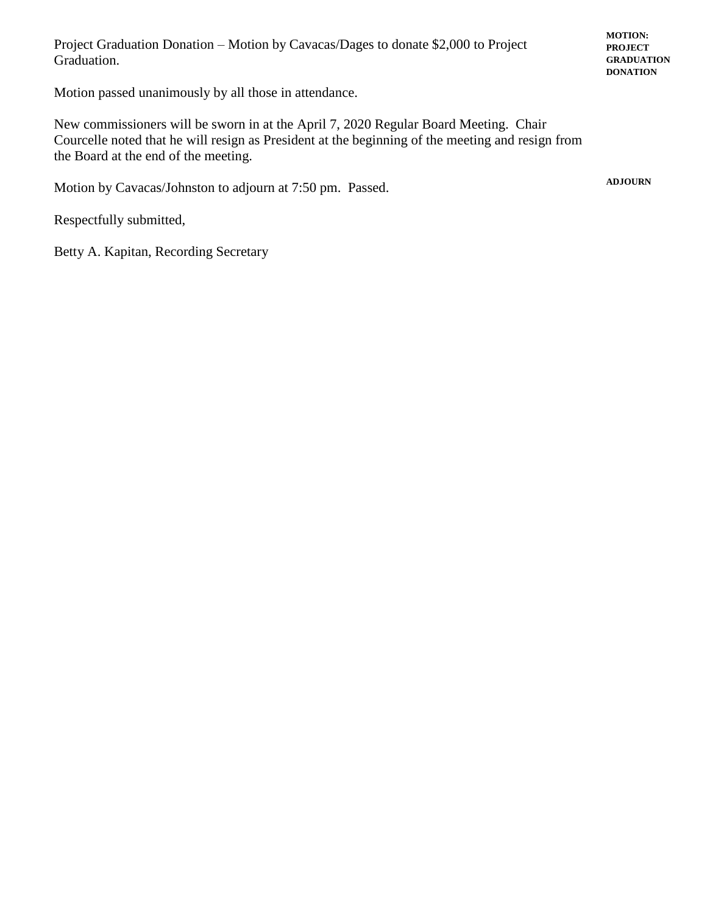Project Graduation Donation – Motion by Cavacas/Dages to donate \$2,000 to Project Graduation.

Motion passed unanimously by all those in attendance.

New commissioners will be sworn in at the April 7, 2020 Regular Board Meeting. Chair Courcelle noted that he will resign as President at the beginning of the meeting and resign from the Board at the end of the meeting.

Motion by Cavacas/Johnston to adjourn at 7:50 pm. Passed.

Respectfully submitted,

Betty A. Kapitan, Recording Secretary

**MOTION: PROJECT GRADUATION DONATION**

**ADJOURN**